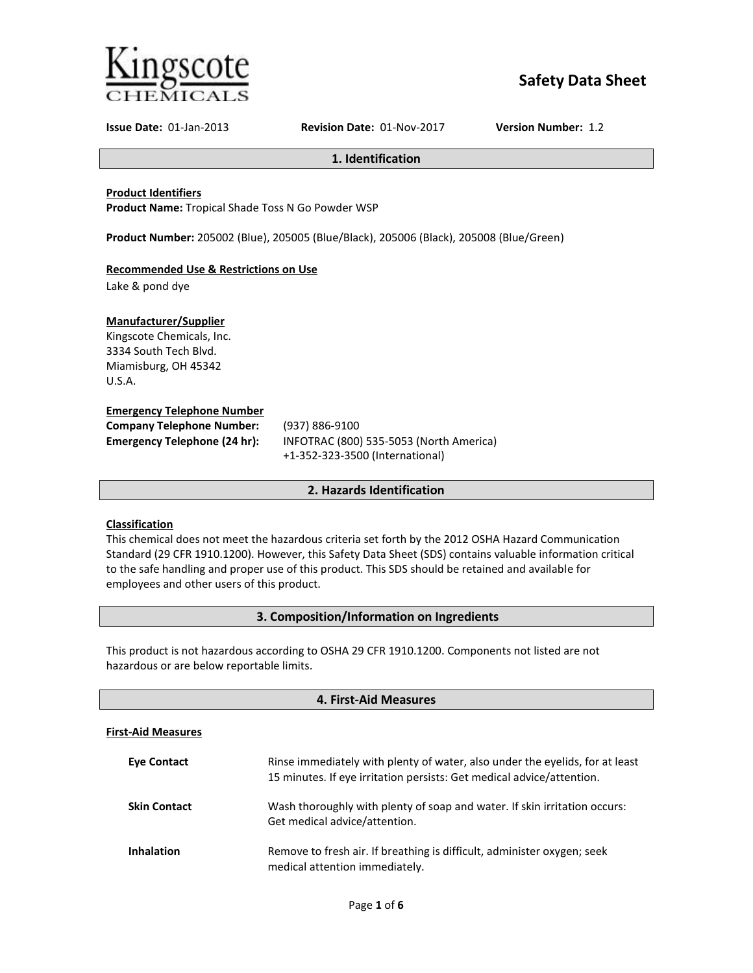

# **Safety Data Sheet**

**Issue Date:** 01-Jan-2013 **Revision Date:** 01-Nov-2017 **Version Number:** 1.2

**1. Identification**

### **Product Identifiers**

**Product Name:** Tropical Shade Toss N Go Powder WSP

**Product Number:** 205002 (Blue), 205005 (Blue/Black), 205006 (Black), 205008 (Blue/Green)

# **Recommended Use & Restrictions on Use**

Lake & pond dye

# **Manufacturer/Supplier**

Kingscote Chemicals, Inc. 3334 South Tech Blvd. Miamisburg, OH 45342 U.S.A.

#### **Emergency Telephone Number**

| <b>Company Telephone Number:</b>    | (937) 886-9100                          |
|-------------------------------------|-----------------------------------------|
| <b>Emergency Telephone (24 hr):</b> | INFOTRAC (800) 535-5053 (North America) |
|                                     | $(1.252227500$ isometic set             |

+1-352-323-3500 (International)

# **2. Hazards Identification**

# **Classification**

This chemical does not meet the hazardous criteria set forth by the 2012 OSHA Hazard Communication Standard (29 CFR 1910.1200). However, this Safety Data Sheet (SDS) contains valuable information critical to the safe handling and proper use of this product. This SDS should be retained and available for employees and other users of this product.

# **3. Composition/Information on Ingredients**

This product is not hazardous according to OSHA 29 CFR 1910.1200. Components not listed are not hazardous or are below reportable limits.

| 4. First-Aid Measures     |                                                                                                                                                       |  |  |
|---------------------------|-------------------------------------------------------------------------------------------------------------------------------------------------------|--|--|
| <b>First-Aid Measures</b> |                                                                                                                                                       |  |  |
| <b>Eve Contact</b>        | Rinse immediately with plenty of water, also under the eyelids, for at least<br>15 minutes. If eye irritation persists: Get medical advice/attention. |  |  |
| <b>Skin Contact</b>       | Wash thoroughly with plenty of soap and water. If skin irritation occurs:<br>Get medical advice/attention.                                            |  |  |
| <b>Inhalation</b>         | Remove to fresh air. If breathing is difficult, administer oxygen; seek<br>medical attention immediately.                                             |  |  |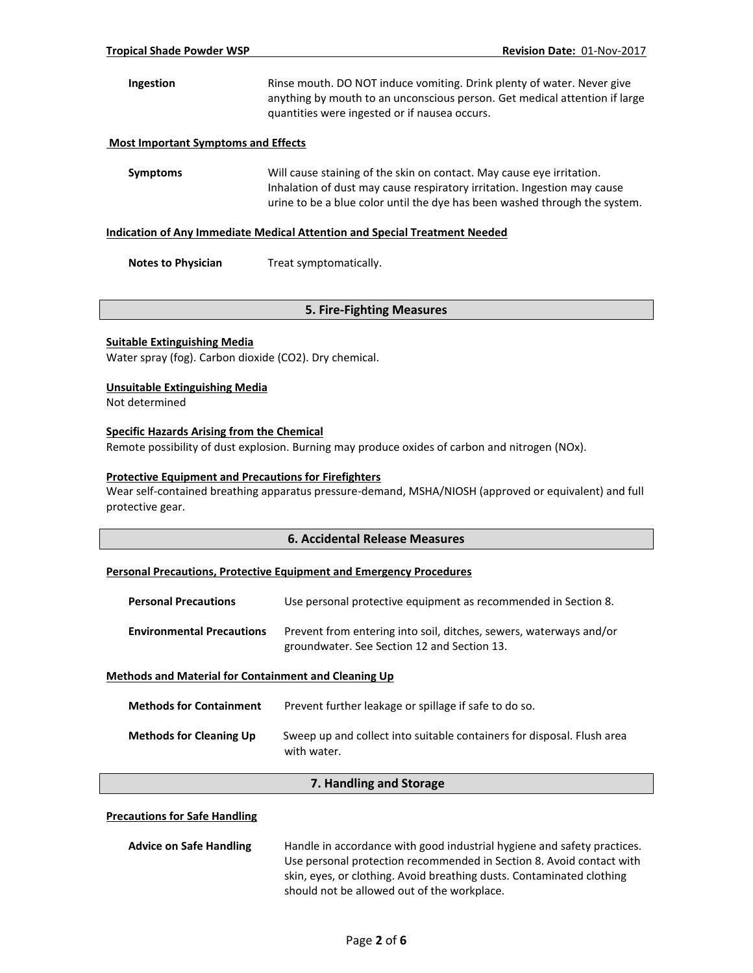# **Ingestion** Rinse mouth. DO NOT induce vomiting. Drink plenty of water. Never give anything by mouth to an unconscious person. Get medical attention if large quantities were ingested or if nausea occurs.

### **Most Important Symptoms and Effects**

**Symptoms** Will cause staining of the skin on contact. May cause eye irritation. Inhalation of dust may cause respiratory irritation. Ingestion may cause urine to be a blue color until the dye has been washed through the system.

#### **Indication of Any Immediate Medical Attention and Special Treatment Needed**

**Notes to Physician** Treat symptomatically.

# **5. Fire-Fighting Measures**

#### **Suitable Extinguishing Media**

Water spray (fog). Carbon dioxide (CO2). Dry chemical.

#### **Unsuitable Extinguishing Media**

Not determined

# **Specific Hazards Arising from the Chemical**

Remote possibility of dust explosion. Burning may produce oxides of carbon and nitrogen (NOx).

#### **Protective Equipment and Precautions for Firefighters**

Wear self-contained breathing apparatus pressure-demand, MSHA/NIOSH (approved or equivalent) and full protective gear.

# **6. Accidental Release Measures**

#### **Personal Precautions, Protective Equipment and Emergency Procedures**

| <b>Personal Precautions</b>      | Use personal protective equipment as recommended in Section 8.                                                    |
|----------------------------------|-------------------------------------------------------------------------------------------------------------------|
| <b>Environmental Precautions</b> | Prevent from entering into soil, ditches, sewers, waterways and/or<br>groundwater. See Section 12 and Section 13. |

#### **Methods and Material for Containment and Cleaning Up**

| <b>Methods for Containment</b> | Prevent further leakage or spillage if safe to do so.                                 |
|--------------------------------|---------------------------------------------------------------------------------------|
| <b>Methods for Cleaning Up</b> | Sweep up and collect into suitable containers for disposal. Flush area<br>with water. |

# **7. Handling and Storage**

#### **Precautions for Safe Handling**

| <b>Advice on Safe Handling</b> | Handle in accordance with good industrial hygiene and safety practices. |
|--------------------------------|-------------------------------------------------------------------------|
|                                | Use personal protection recommended in Section 8. Avoid contact with    |
|                                | skin, eyes, or clothing. Avoid breathing dusts. Contaminated clothing   |
|                                | should not be allowed out of the workplace.                             |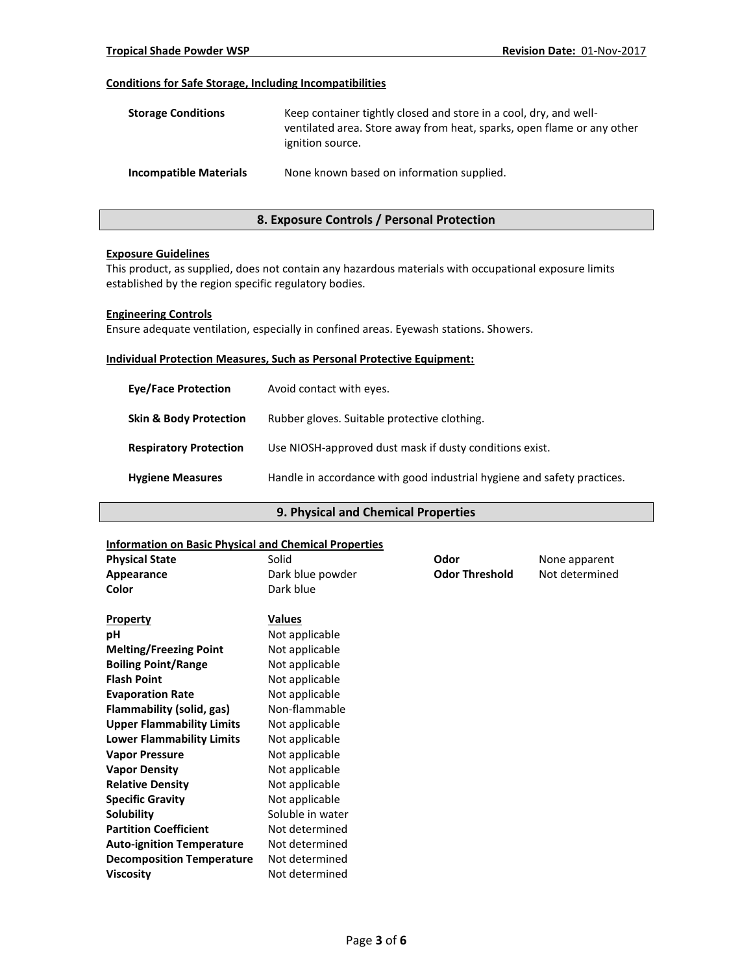# **Conditions for Safe Storage, Including Incompatibilities**

| <b>Storage Conditions</b>     | Keep container tightly closed and store in a cool, dry, and well-<br>ventilated area. Store away from heat, sparks, open flame or any other<br>ignition source. |
|-------------------------------|-----------------------------------------------------------------------------------------------------------------------------------------------------------------|
| <b>Incompatible Materials</b> | None known based on information supplied.                                                                                                                       |

# **8. Exposure Controls / Personal Protection**

#### **Exposure Guidelines**

This product, as supplied, does not contain any hazardous materials with occupational exposure limits established by the region specific regulatory bodies.

#### **Engineering Controls**

Ensure adequate ventilation, especially in confined areas. Eyewash stations. Showers.

#### **Individual Protection Measures, Such as Personal Protective Equipment:**

| <b>Eve/Face Protection</b>        | Avoid contact with eyes.                                                |
|-----------------------------------|-------------------------------------------------------------------------|
| <b>Skin &amp; Body Protection</b> | Rubber gloves. Suitable protective clothing.                            |
| <b>Respiratory Protection</b>     | Use NIOSH-approved dust mask if dusty conditions exist.                 |
| <b>Hygiene Measures</b>           | Handle in accordance with good industrial hygiene and safety practices. |

# **9. Physical and Chemical Properties**

#### **Information on Basic Physical and Chemical Properties**

| iliitu mation on basic Filipsical and Chemical Floperties |                  |                       |                |
|-----------------------------------------------------------|------------------|-----------------------|----------------|
| <b>Physical State</b>                                     | Solid            | Odor                  | None apparent  |
| Appearance                                                | Dark blue powder | <b>Odor Threshold</b> | Not determined |
| Color                                                     | Dark blue        |                       |                |
| <b>Property</b>                                           | <b>Values</b>    |                       |                |
| рH                                                        | Not applicable   |                       |                |
| <b>Melting/Freezing Point</b>                             | Not applicable   |                       |                |
| <b>Boiling Point/Range</b>                                | Not applicable   |                       |                |
| <b>Flash Point</b>                                        | Not applicable   |                       |                |
| <b>Evaporation Rate</b>                                   | Not applicable   |                       |                |
| Flammability (solid, gas)                                 | Non-flammable    |                       |                |
| <b>Upper Flammability Limits</b>                          | Not applicable   |                       |                |
| <b>Lower Flammability Limits</b>                          | Not applicable   |                       |                |
| <b>Vapor Pressure</b>                                     | Not applicable   |                       |                |
| <b>Vapor Density</b>                                      | Not applicable   |                       |                |
| <b>Relative Density</b>                                   | Not applicable   |                       |                |
| <b>Specific Gravity</b>                                   | Not applicable   |                       |                |
| Solubility                                                | Soluble in water |                       |                |
| <b>Partition Coefficient</b>                              | Not determined   |                       |                |
| <b>Auto-ignition Temperature</b>                          | Not determined   |                       |                |
| <b>Decomposition Temperature</b>                          | Not determined   |                       |                |
| <b>Viscosity</b>                                          | Not determined   |                       |                |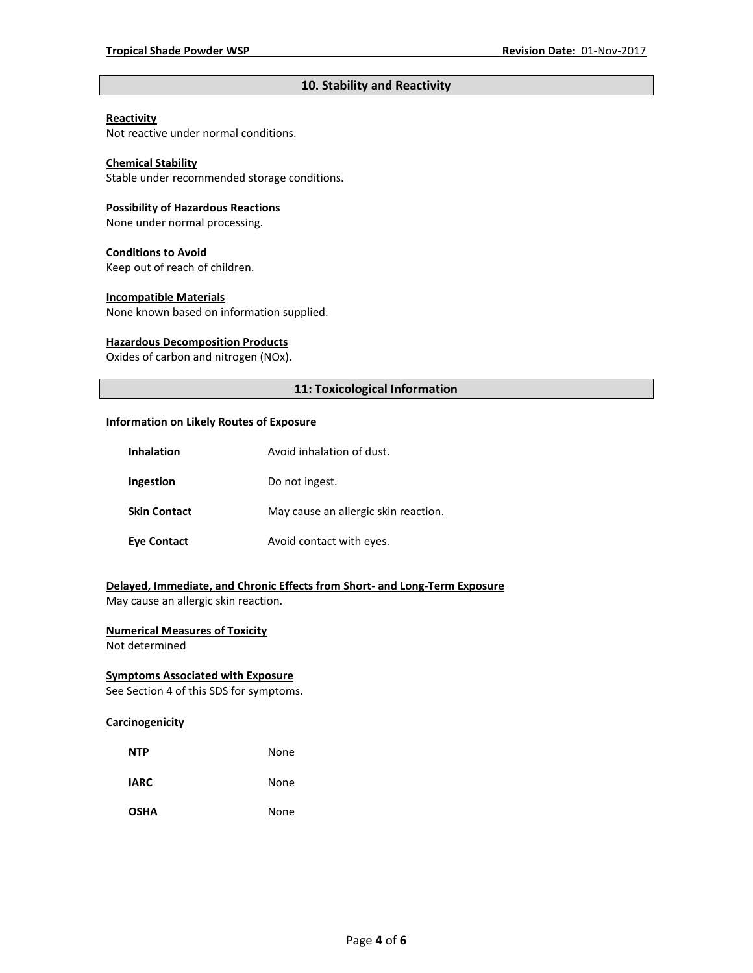# **10. Stability and Reactivity**

# **Reactivity**

Not reactive under normal conditions.

# **Chemical Stability**

Stable under recommended storage conditions.

#### **Possibility of Hazardous Reactions**

None under normal processing.

#### **Conditions to Avoid**

Keep out of reach of children.

#### **Incompatible Materials**

None known based on information supplied.

#### **Hazardous Decomposition Products**

Oxides of carbon and nitrogen (NOx).

# **11: Toxicological Information**

#### **Information on Likely Routes of Exposure**

| <b>Inhalation</b>   | Avoid inhalation of dust.            |
|---------------------|--------------------------------------|
| Ingestion           | Do not ingest.                       |
| <b>Skin Contact</b> | May cause an allergic skin reaction. |
| <b>Eye Contact</b>  | Avoid contact with eyes.             |

# **Delayed, Immediate, and Chronic Effects from Short- and Long-Term Exposure**

May cause an allergic skin reaction.

# **Numerical Measures of Toxicity**

Not determined

# **Symptoms Associated with Exposure**

See Section 4 of this SDS for symptoms.

# **Carcinogenicity**

| <b>NTP</b>  | None |
|-------------|------|
| <b>IARC</b> | None |
| <b>OSHA</b> | None |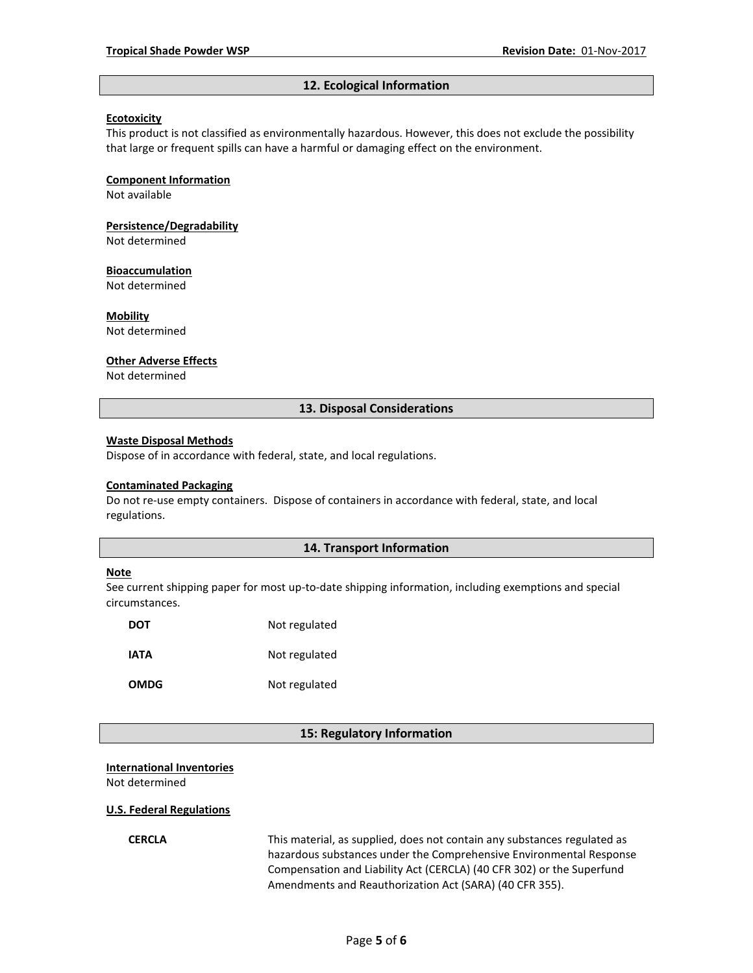#### **12. Ecological Information**

#### **Ecotoxicity**

This product is not classified as environmentally hazardous. However, this does not exclude the possibility that large or frequent spills can have a harmful or damaging effect on the environment.

#### **Component Information**

Not available

# **Persistence/Degradability**

Not determined

#### **Bioaccumulation**

Not determined

#### **Mobility**

Not determined

#### **Other Adverse Effects**

Not determined

# **13. Disposal Considerations**

#### **Waste Disposal Methods**

Dispose of in accordance with federal, state, and local regulations.

#### **Contaminated Packaging**

Do not re-use empty containers.Dispose of containers in accordance with federal, state, and local regulations.

### **14. Transport Information**

#### **Note**

See current shipping paper for most up-to-date shipping information, including exemptions and special circumstances.

| DOT         | Not regulated |
|-------------|---------------|
| IATA        | Not regulated |
| <b>OMDG</b> | Not regulated |

# **15: Regulatory Information**

#### **International Inventories**

Not determined

#### **U.S. Federal Regulations**

**CERCLA** This material, as supplied, does not contain any substances regulated as hazardous substances under the Comprehensive Environmental Response Compensation and Liability Act (CERCLA) (40 CFR 302) or the Superfund Amendments and Reauthorization Act (SARA) (40 CFR 355).